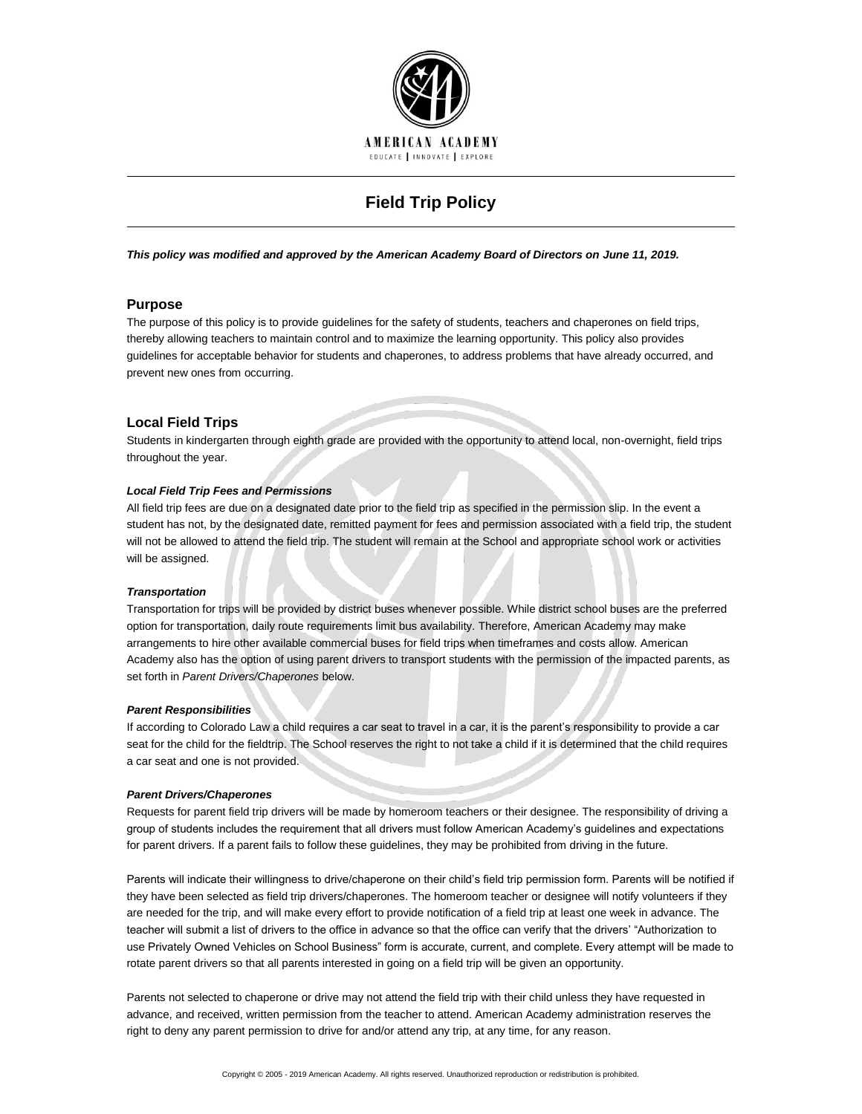

# **Field Trip Policy**

*This policy was modified and approved by the American Academy Board of Directors on June 11, 2019.*

# **Purpose**

The purpose of this policy is to provide guidelines for the safety of students, teachers and chaperones on field trips, thereby allowing teachers to maintain control and to maximize the learning opportunity. This policy also provides guidelines for acceptable behavior for students and chaperones, to address problems that have already occurred, and prevent new ones from occurring.

# **Local Field Trips**

Students in kindergarten through eighth grade are provided with the opportunity to attend local, non-overnight, field trips throughout the year.

## *Local Field Trip Fees and Permissions*

All field trip fees are due on a designated date prior to the field trip as specified in the permission slip. In the event a student has not, by the designated date, remitted payment for fees and permission associated with a field trip, the student will not be allowed to attend the field trip. The student will remain at the School and appropriate school work or activities will be assigned.

#### *Transportation*

Transportation for trips will be provided by district buses whenever possible. While district school buses are the preferred option for transportation, daily route requirements limit bus availability. Therefore, American Academy may make arrangements to hire other available commercial buses for field trips when timeframes and costs allow. American Academy also has the option of using parent drivers to transport students with the permission of the impacted parents, as set forth in *Parent Drivers/Chaperones* below.

# *Parent Responsibilities*

If according to Colorado Law a child requires a car seat to travel in a car, it is the parent's responsibility to provide a car seat for the child for the fieldtrip. The School reserves the right to not take a child if it is determined that the child requires a car seat and one is not provided.

#### *Parent Drivers/Chaperones*

Requests for parent field trip drivers will be made by homeroom teachers or their designee. The responsibility of driving a group of students includes the requirement that all drivers must follow American Academy's guidelines and expectations for parent drivers. If a parent fails to follow these guidelines, they may be prohibited from driving in the future.

Parents will indicate their willingness to drive/chaperone on their child's field trip permission form. Parents will be notified if they have been selected as field trip drivers/chaperones. The homeroom teacher or designee will notify volunteers if they are needed for the trip, and will make every effort to provide notification of a field trip at least one week in advance. The teacher will submit a list of drivers to the office in advance so that the office can verify that the drivers' "Authorization to use Privately Owned Vehicles on School Business" form is accurate, current, and complete. Every attempt will be made to rotate parent drivers so that all parents interested in going on a field trip will be given an opportunity.

Parents not selected to chaperone or drive may not attend the field trip with their child unless they have requested in advance, and received, written permission from the teacher to attend. American Academy administration reserves the right to deny any parent permission to drive for and/or attend any trip, at any time, for any reason.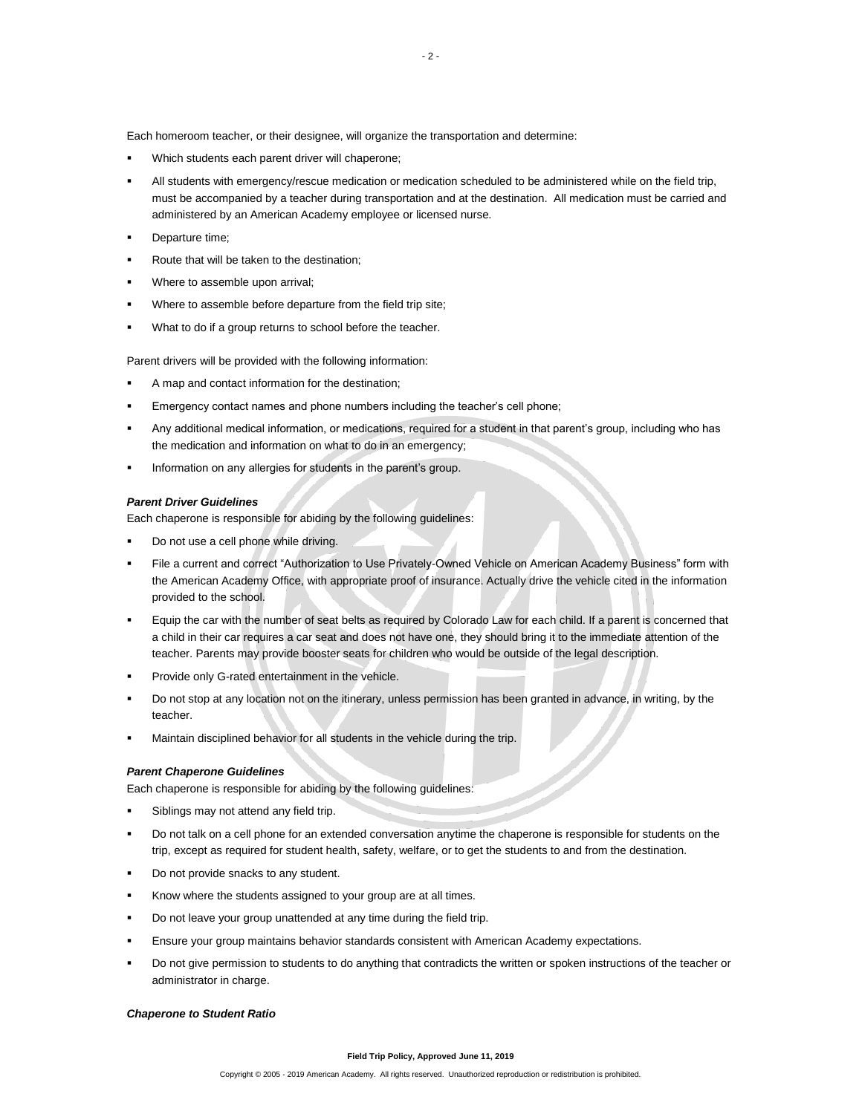Each homeroom teacher, or their designee, will organize the transportation and determine:

- Which students each parent driver will chaperone;
- All students with emergency/rescue medication or medication scheduled to be administered while on the field trip, must be accompanied by a teacher during transportation and at the destination. All medication must be carried and administered by an American Academy employee or licensed nurse.
- Departure time;
- Route that will be taken to the destination;
- Where to assemble upon arrival:
- Where to assemble before departure from the field trip site;
- What to do if a group returns to school before the teacher.

Parent drivers will be provided with the following information:

- A map and contact information for the destination;
- Emergency contact names and phone numbers including the teacher's cell phone;
- Any additional medical information, or medications, required for a student in that parent's group, including who has the medication and information on what to do in an emergency;
- Information on any allergies for students in the parent's group.

# *Parent Driver Guidelines*

Each chaperone is responsible for abiding by the following guidelines:

- Do not use a cell phone while driving.
- File a current and correct "Authorization to Use Privately-Owned Vehicle on American Academy Business" form with the American Academy Office, with appropriate proof of insurance. Actually drive the vehicle cited in the information provided to the school.
- Equip the car with the number of seat belts as required by Colorado Law for each child. If a parent is concerned that a child in their car requires a car seat and does not have one, they should bring it to the immediate attention of the teacher. Parents may provide booster seats for children who would be outside of the legal description.
- Provide only G-rated entertainment in the vehicle.
- Do not stop at any location not on the itinerary, unless permission has been granted in advance, in writing, by the teacher.
- Maintain disciplined behavior for all students in the vehicle during the trip.

# *Parent Chaperone Guidelines*

Each chaperone is responsible for abiding by the following guidelines:

- Siblings may not attend any field trip.
- Do not talk on a cell phone for an extended conversation anytime the chaperone is responsible for students on the trip, except as required for student health, safety, welfare, or to get the students to and from the destination.
- Do not provide snacks to any student.
- Know where the students assigned to your group are at all times.
- Do not leave your group unattended at any time during the field trip.
- Ensure your group maintains behavior standards consistent with American Academy expectations.
- Do not give permission to students to do anything that contradicts the written or spoken instructions of the teacher or administrator in charge.

# *Chaperone to Student Ratio*

#### **Field Trip Policy, Approved June 11, 2019**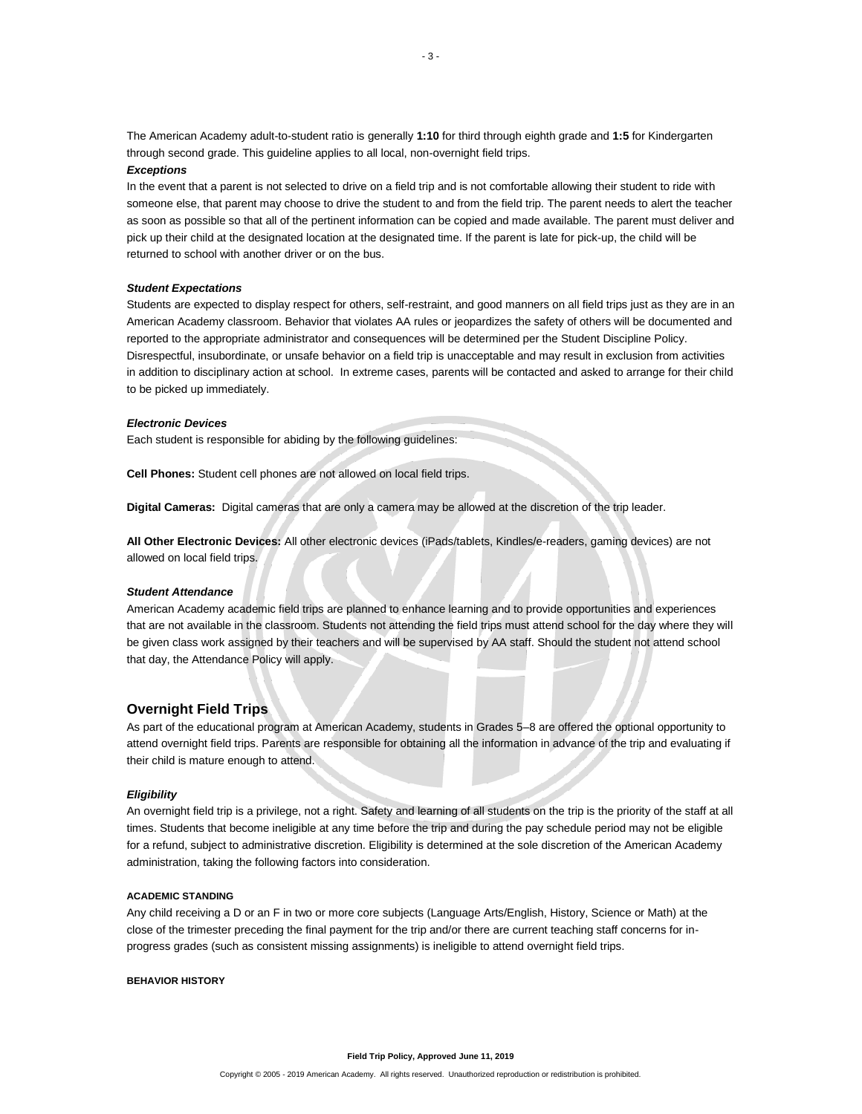The American Academy adult-to-student ratio is generally **1:10** for third through eighth grade and **1:5** for Kindergarten through second grade. This guideline applies to all local, non-overnight field trips.

## *Exceptions*

In the event that a parent is not selected to drive on a field trip and is not comfortable allowing their student to ride with someone else, that parent may choose to drive the student to and from the field trip. The parent needs to alert the teacher as soon as possible so that all of the pertinent information can be copied and made available. The parent must deliver and pick up their child at the designated location at the designated time. If the parent is late for pick-up, the child will be returned to school with another driver or on the bus.

#### *Student Expectations*

Students are expected to display respect for others, self-restraint, and good manners on all field trips just as they are in an American Academy classroom. Behavior that violates AA rules or jeopardizes the safety of others will be documented and reported to the appropriate administrator and consequences will be determined per the Student Discipline Policy. Disrespectful, insubordinate, or unsafe behavior on a field trip is unacceptable and may result in exclusion from activities in addition to disciplinary action at school. In extreme cases, parents will be contacted and asked to arrange for their child to be picked up immediately.

#### *Electronic Devices*

Each student is responsible for abiding by the following guidelines:

**Cell Phones:** Student cell phones are not allowed on local field trips.

**Digital Cameras:** Digital cameras that are only a camera may be allowed at the discretion of the trip leader.

**All Other Electronic Devices:** All other electronic devices (iPads/tablets, Kindles/e-readers, gaming devices) are not allowed on local field trips.

#### *Student Attendance*

American Academy academic field trips are planned to enhance learning and to provide opportunities and experiences that are not available in the classroom. Students not attending the field trips must attend school for the day where they will be given class work assigned by their teachers and will be supervised by AA staff. Should the student not attend school that day, the Attendance Policy will apply.

# **Overnight Field Trips**

As part of the educational program at American Academy, students in Grades 5–8 are offered the optional opportunity to attend overnight field trips. Parents are responsible for obtaining all the information in advance of the trip and evaluating if their child is mature enough to attend.

#### *Eligibility*

An overnight field trip is a privilege, not a right. Safety and learning of all students on the trip is the priority of the staff at all times. Students that become ineligible at any time before the trip and during the pay schedule period may not be eligible for a refund, subject to administrative discretion. Eligibility is determined at the sole discretion of the American Academy administration, taking the following factors into consideration.

## **ACADEMIC STANDING**

Any child receiving a D or an F in two or more core subjects (Language Arts/English, History, Science or Math) at the close of the trimester preceding the final payment for the trip and/or there are current teaching staff concerns for inprogress grades (such as consistent missing assignments) is ineligible to attend overnight field trips.

## **BEHAVIOR HISTORY**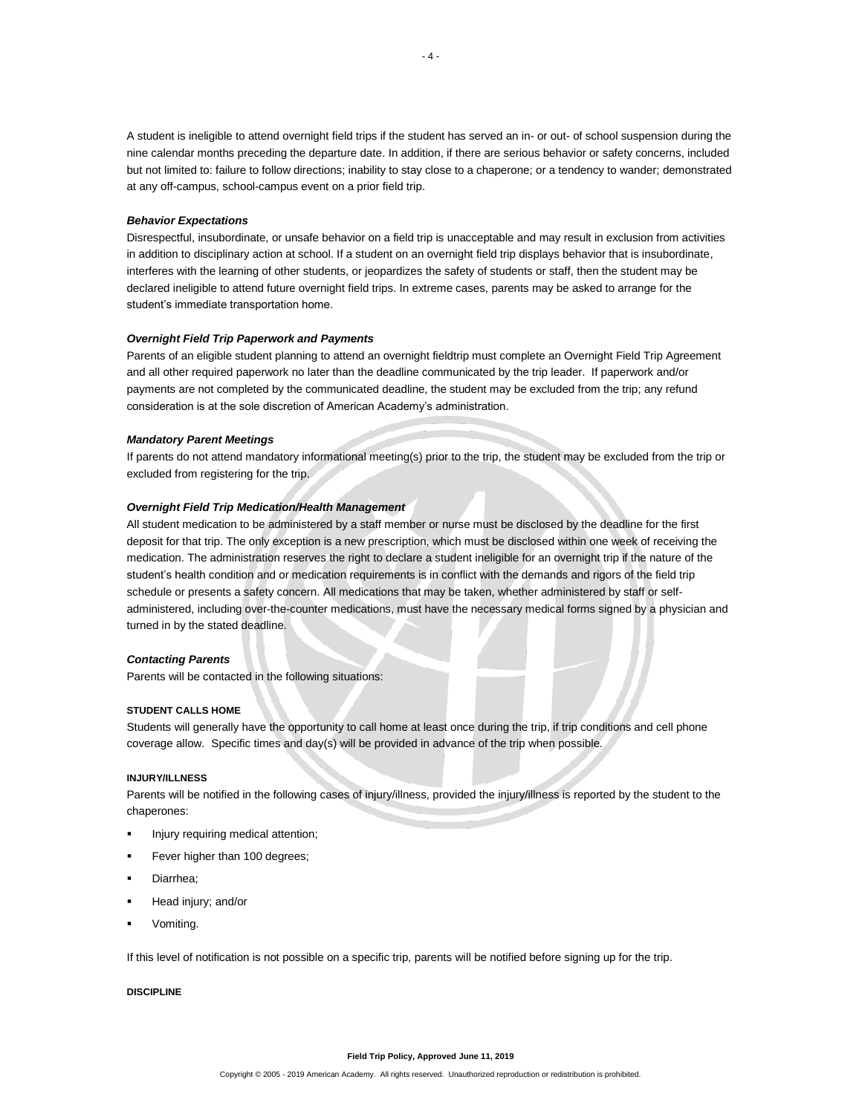A student is ineligible to attend overnight field trips if the student has served an in- or out- of school suspension during the nine calendar months preceding the departure date. In addition, if there are serious behavior or safety concerns, included but not limited to: failure to follow directions; inability to stay close to a chaperone; or a tendency to wander; demonstrated at any off-campus, school-campus event on a prior field trip.

#### *Behavior Expectations*

Disrespectful, insubordinate, or unsafe behavior on a field trip is unacceptable and may result in exclusion from activities in addition to disciplinary action at school. If a student on an overnight field trip displays behavior that is insubordinate, interferes with the learning of other students, or jeopardizes the safety of students or staff, then the student may be declared ineligible to attend future overnight field trips. In extreme cases, parents may be asked to arrange for the student's immediate transportation home.

# *Overnight Field Trip Paperwork and Payments*

Parents of an eligible student planning to attend an overnight fieldtrip must complete an Overnight Field Trip Agreement and all other required paperwork no later than the deadline communicated by the trip leader. If paperwork and/or payments are not completed by the communicated deadline, the student may be excluded from the trip; any refund consideration is at the sole discretion of American Academy's administration.

#### *Mandatory Parent Meetings*

If parents do not attend mandatory informational meeting(s) prior to the trip, the student may be excluded from the trip or excluded from registering for the trip.

## *Overnight Field Trip Medication/Health Management*

All student medication to be administered by a staff member or nurse must be disclosed by the deadline for the first deposit for that trip. The only exception is a new prescription, which must be disclosed within one week of receiving the medication. The administration reserves the right to declare a student ineligible for an overnight trip if the nature of the student's health condition and or medication requirements is in conflict with the demands and rigors of the field trip schedule or presents a safety concern. All medications that may be taken, whether administered by staff or selfadministered, including over-the-counter medications, must have the necessary medical forms signed by a physician and turned in by the stated deadline.

#### *Contacting Parents*

Parents will be contacted in the following situations:

# **STUDENT CALLS HOME**

Students will generally have the opportunity to call home at least once during the trip, if trip conditions and cell phone coverage allow. Specific times and day(s) will be provided in advance of the trip when possible.

### **INJURY/ILLNESS**

Parents will be notified in the following cases of injury/illness, provided the injury/illness is reported by the student to the chaperones:

- Injury requiring medical attention;
- Fever higher than 100 degrees;
- Diarrhea;
- Head injury; and/or
- Vomiting.

If this level of notification is not possible on a specific trip, parents will be notified before signing up for the trip.

# **DISCIPLINE**